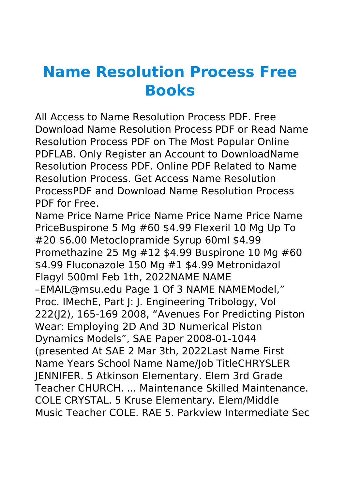## **Name Resolution Process Free Books**

All Access to Name Resolution Process PDF. Free Download Name Resolution Process PDF or Read Name Resolution Process PDF on The Most Popular Online PDFLAB. Only Register an Account to DownloadName Resolution Process PDF. Online PDF Related to Name Resolution Process. Get Access Name Resolution ProcessPDF and Download Name Resolution Process PDF for Free.

Name Price Name Price Name Price Name Price Name PriceBuspirone 5 Mg #60 \$4.99 Flexeril 10 Mg Up To #20 \$6.00 Metoclopramide Syrup 60ml \$4.99 Promethazine 25 Mg #12 \$4.99 Buspirone 10 Mg #60 \$4.99 Fluconazole 150 Mg #1 \$4.99 Metronidazol Flagyl 500ml Feb 1th, 2022NAME NAME –EMAIL@msu.edu Page 1 Of 3 NAME NAMEModel," Proc. IMechE, Part J: J. Engineering Tribology, Vol 222(J2), 165-169 2008, "Avenues For Predicting Piston Wear: Employing 2D And 3D Numerical Piston Dynamics Models", SAE Paper 2008-01-1044 (presented At SAE 2 Mar 3th, 2022Last Name First Name Years School Name Name/Job TitleCHRYSLER JENNIFER. 5 Atkinson Elementary. Elem 3rd Grade Teacher CHURCH. ... Maintenance Skilled Maintenance. COLE CRYSTAL. 5 Kruse Elementary. Elem/Middle Music Teacher COLE. RAE 5. Parkview Intermediate Sec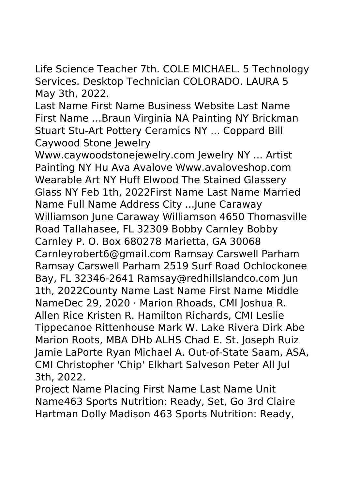Life Science Teacher 7th. COLE MICHAEL. 5 Technology Services. Desktop Technician COLORADO. LAURA 5 May 3th, 2022.

Last Name First Name Business Website Last Name First Name …Braun Virginia NA Painting NY Brickman Stuart Stu-Art Pottery Ceramics NY ... Coppard Bill Caywood Stone Jewelry

Www.caywoodstonejewelry.com Jewelry NY ... Artist Painting NY Hu Ava Avalove Www.avaloveshop.com Wearable Art NY Huff Elwood The Stained Glassery Glass NY Feb 1th, 2022First Name Last Name Married Name Full Name Address City ...June Caraway Williamson June Caraway Williamson 4650 Thomasville Road Tallahasee, FL 32309 Bobby Carnley Bobby Carnley P. O. Box 680278 Marietta, GA 30068 Carnleyrobert6@gmail.com Ramsay Carswell Parham Ramsay Carswell Parham 2519 Surf Road Ochlockonee Bay, FL 32346-2641 Ramsay@redhillslandco.com Jun 1th, 2022County Name Last Name First Name Middle NameDec 29, 2020 · Marion Rhoads, CMI Joshua R. Allen Rice Kristen R. Hamilton Richards, CMI Leslie Tippecanoe Rittenhouse Mark W. Lake Rivera Dirk Abe Marion Roots, MBA DHb ALHS Chad E. St. Joseph Ruiz Jamie LaPorte Ryan Michael A. Out-of-State Saam, ASA, CMI Christopher 'Chip' Elkhart Salveson Peter All Jul 3th, 2022.

Project Name Placing First Name Last Name Unit Name463 Sports Nutrition: Ready, Set, Go 3rd Claire Hartman Dolly Madison 463 Sports Nutrition: Ready,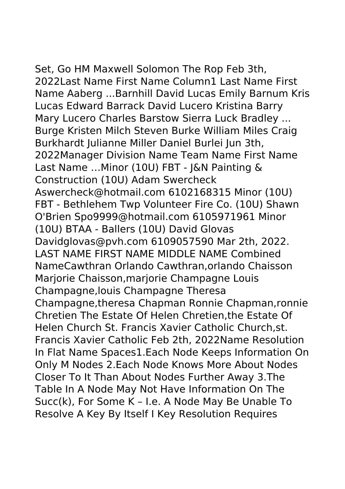Set, Go HM Maxwell Solomon The Rop Feb 3th, 2022Last Name First Name Column1 Last Name First

Name Aaberg ...Barnhill David Lucas Emily Barnum Kris Lucas Edward Barrack David Lucero Kristina Barry Mary Lucero Charles Barstow Sierra Luck Bradley ... Burge Kristen Milch Steven Burke William Miles Craig Burkhardt Julianne Miller Daniel Burlei Jun 3th, 2022Manager Division Name Team Name First Name Last Name …Minor (10U) FBT - J&N Painting & Construction (10U) Adam Swercheck Aswercheck@hotmail.com 6102168315 Minor (10U) FBT - Bethlehem Twp Volunteer Fire Co. (10U) Shawn O'Brien Spo9999@hotmail.com 6105971961 Minor (10U) BTAA - Ballers (10U) David Glovas Davidglovas@pvh.com 6109057590 Mar 2th, 2022. LAST NAME FIRST NAME MIDDLE NAME Combined NameCawthran Orlando Cawthran,orlando Chaisson Marjorie Chaisson,marjorie Champagne Louis Champagne,louis Champagne Theresa Champagne,theresa Chapman Ronnie Chapman,ronnie Chretien The Estate Of Helen Chretien,the Estate Of Helen Church St. Francis Xavier Catholic Church,st. Francis Xavier Catholic Feb 2th, 2022Name Resolution In Flat Name Spaces1.Each Node Keeps Information On Only M Nodes 2.Each Node Knows More About Nodes Closer To It Than About Nodes Further Away 3.The Table In A Node May Not Have Information On The Succ(k), For Some K – I.e. A Node May Be Unable To Resolve A Key By Itself I Key Resolution Requires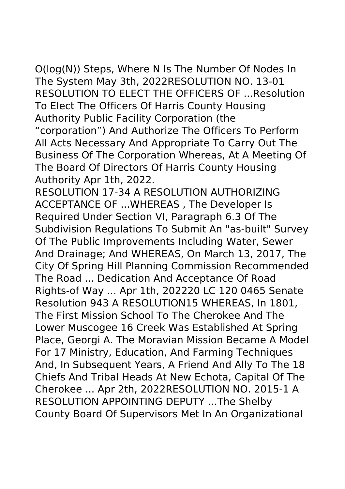O(log(N)) Steps, Where N Is The Number Of Nodes In The System May 3th, 2022RESOLUTION NO. 13-01 RESOLUTION TO ELECT THE OFFICERS OF ...Resolution To Elect The Officers Of Harris County Housing Authority Public Facility Corporation (the "corporation") And Authorize The Officers To Perform All Acts Necessary And Appropriate To Carry Out The Business Of The Corporation Whereas, At A Meeting Of The Board Of Directors Of Harris County Housing Authority Apr 1th, 2022.

RESOLUTION 17-34 A RESOLUTION AUTHORIZING ACCEPTANCE OF ...WHEREAS , The Developer Is Required Under Section VI, Paragraph 6.3 Of The Subdivision Regulations To Submit An "as-built" Survey Of The Public Improvements Including Water, Sewer And Drainage; And WHEREAS, On March 13, 2017, The City Of Spring Hill Planning Commission Recommended The Road ... Dedication And Acceptance Of Road Rights-of Way ... Apr 1th, 202220 LC 120 0465 Senate Resolution 943 A RESOLUTION15 WHEREAS, In 1801, The First Mission School To The Cherokee And The Lower Muscogee 16 Creek Was Established At Spring Place, Georgi A. The Moravian Mission Became A Model For 17 Ministry, Education, And Farming Techniques And, In Subsequent Years, A Friend And Ally To The 18 Chiefs And Tribal Heads At New Echota, Capital Of The Cherokee ... Apr 2th, 2022RESOLUTION NO. 2015-1 A RESOLUTION APPOINTING DEPUTY ...The Shelby County Board Of Supervisors Met In An Organizational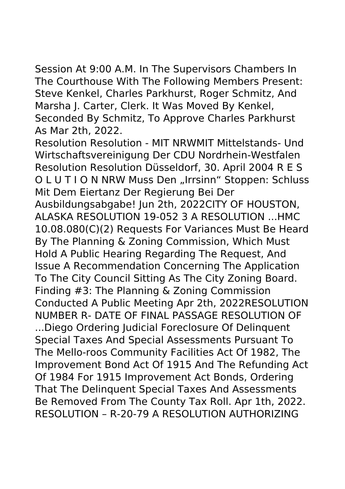Session At 9:00 A.M. In The Supervisors Chambers In The Courthouse With The Following Members Present: Steve Kenkel, Charles Parkhurst, Roger Schmitz, And Marsha J. Carter, Clerk. It Was Moved By Kenkel, Seconded By Schmitz, To Approve Charles Parkhurst As Mar 2th, 2022.

Resolution Resolution - MIT NRWMIT Mittelstands- Und Wirtschaftsvereinigung Der CDU Nordrhein-Westfalen Resolution Resolution Düsseldorf, 30. April 2004 R E S O L U T I O N NRW Muss Den "Irrsinn" Stoppen: Schluss Mit Dem Eiertanz Der Regierung Bei Der Ausbildungsabgabe! Jun 2th, 2022CITY OF HOUSTON, ALASKA RESOLUTION 19-052 3 A RESOLUTION ...HMC 10.08.080(C)(2) Requests For Variances Must Be Heard By The Planning & Zoning Commission, Which Must Hold A Public Hearing Regarding The Request, And Issue A Recommendation Concerning The Application To The City Council Sitting As The City Zoning Board. Finding #3: The Planning & Zoning Commission Conducted A Public Meeting Apr 2th, 2022RESOLUTION NUMBER R- DATE OF FINAL PASSAGE RESOLUTION OF ...Diego Ordering Judicial Foreclosure Of Delinquent Special Taxes And Special Assessments Pursuant To The Mello-roos Community Facilities Act Of 1982, The Improvement Bond Act Of 1915 And The Refunding Act Of 1984 For 1915 Improvement Act Bonds, Ordering That The Delinquent Special Taxes And Assessments Be Removed From The County Tax Roll. Apr 1th, 2022. RESOLUTION – R-20-79 A RESOLUTION AUTHORIZING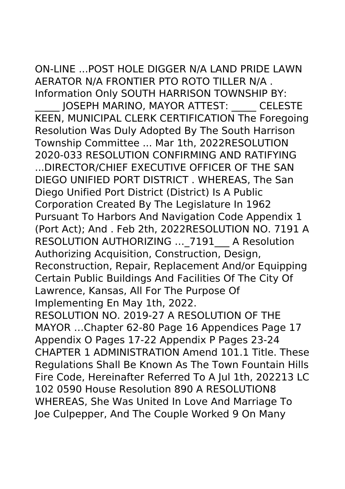ON-LINE ...POST HOLE DIGGER N/A LAND PRIDE LAWN AERATOR N/A FRONTIER PTO ROTO TILLER N/A . Information Only SOUTH HARRISON TOWNSHIP BY:

\_\_\_\_\_ JOSEPH MARINO, MAYOR ATTEST: \_\_\_\_\_ CELESTE KEEN, MUNICIPAL CLERK CERTIFICATION The Foregoing Resolution Was Duly Adopted By The South Harrison Township Committee ... Mar 1th, 2022RESOLUTION 2020-033 RESOLUTION CONFIRMING AND RATIFYING ...DIRECTOR/CHIEF EXECUTIVE OFFICER OF THE SAN DIEGO UNIFIED PORT DISTRICT . WHEREAS, The San Diego Unified Port District (District) Is A Public Corporation Created By The Legislature In 1962 Pursuant To Harbors And Navigation Code Appendix 1 (Port Act); And . Feb 2th, 2022RESOLUTION NO. 7191 A RESOLUTION AUTHORIZING ... 7191 A Resolution Authorizing Acquisition, Construction, Design, Reconstruction, Repair, Replacement And/or Equipping Certain Public Buildings And Facilities Of The City Of Lawrence, Kansas, All For The Purpose Of Implementing En May 1th, 2022. RESOLUTION NO. 2019-27 A RESOLUTION OF THE MAYOR …Chapter 62-80 Page 16 Appendices Page 17 Appendix O Pages 17-22 Appendix P Pages 23-24 CHAPTER 1 ADMINISTRATION Amend 101.1 Title. These Regulations Shall Be Known As The Town Fountain Hills Fire Code, Hereinafter Referred To A Jul 1th, 202213 LC 102 0590 House Resolution 890 A RESOLUTION8 WHEREAS, She Was United In Love And Marriage To Joe Culpepper, And The Couple Worked 9 On Many